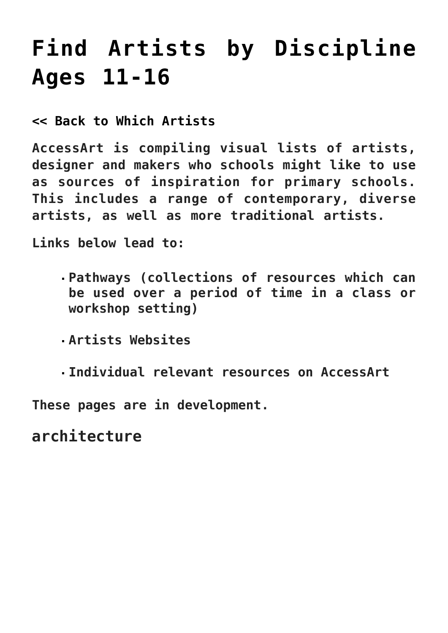# **[Find Artists by Discipline](https://www.accessart.org.uk/find-artists-by-discipline-11-16/) [Ages 11-16](https://www.accessart.org.uk/find-artists-by-discipline-11-16/)**

**[<< Back to Which Artists](https://www.accessart.org.uk/which-artists/)**

**AccessArt is compiling visual lists of artists, designer and makers who schools might like to use as sources of inspiration for primary schools. This includes a range of contemporary, diverse artists, as well as more traditional artists.**

**Links below lead to:**

- **Pathways (collections of resources which can be used over a period of time in a class or workshop setting)**
- **Artists Websites**
- **Individual relevant resources on AccessArt**

**These pages are in development.** 

**architecture**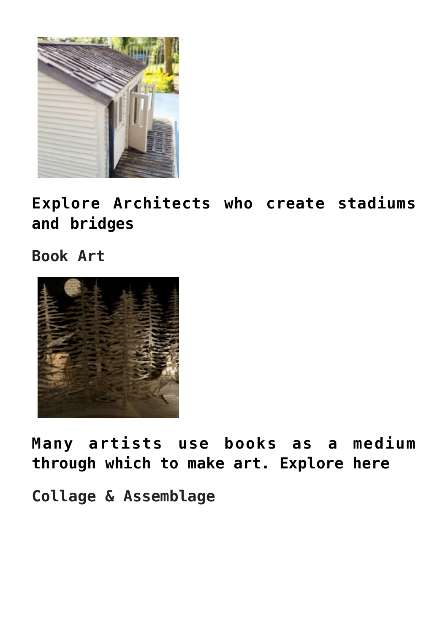

**[Explore Architects who create stadiums](https://www.accessart.org.uk/which-artists-architecture-11-16) [and bridges](https://www.accessart.org.uk/which-artists-architecture-11-16)**

**Book Art**



**[Many artists use books as a medium](https://www.accessart.org.uk/which-artists-book-art-11-16/) [through which to make art. Explore here](https://www.accessart.org.uk/which-artists-book-art-11-16/)**

**Collage & Assemblage**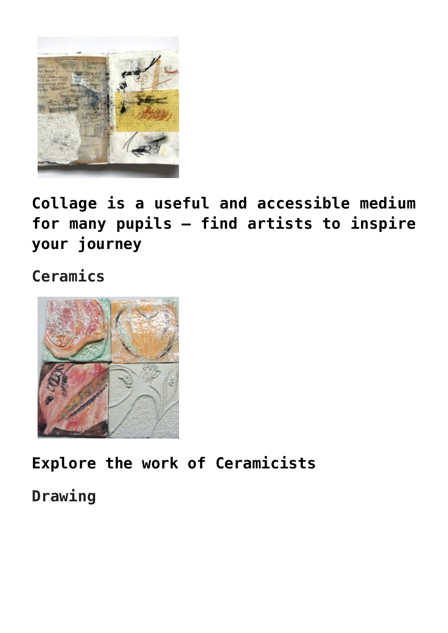

**[Collage is a useful and accessible medium](https://www.accessart.org.uk/which-artists-collage-and-assemblage-11-16/) [for many pupils – find artists to inspire](https://www.accessart.org.uk/which-artists-collage-and-assemblage-11-16/) [your journey](https://www.accessart.org.uk/which-artists-collage-and-assemblage-11-16/)**

**Ceramics**



**[Explore the work of Ceramicists](https://www.accessart.org.uk/which-artists-ceramics-11-16/)**

**Drawing**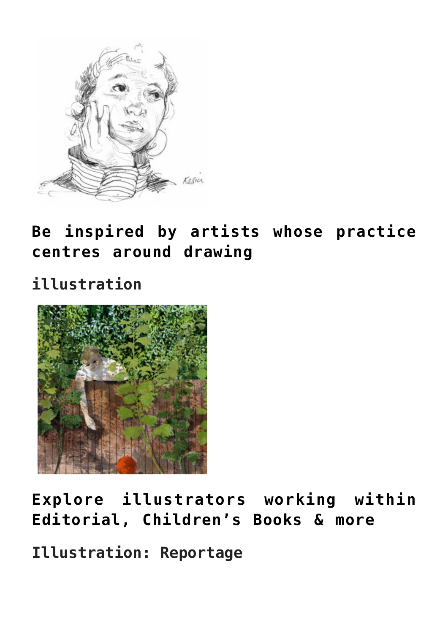

**[Be inspired by artists whose practice](https://www.accessart.org.uk/which-artists-drawing-11-16/) [centres around drawing](https://www.accessart.org.uk/which-artists-drawing-11-16/)**

**illustration**



**[Explore illustrators working within](https://www.accessart.org.uk/which-artists-illustration-11-16/) [Editorial, Children's Books & more](https://www.accessart.org.uk/which-artists-illustration-11-16/)**

**Illustration: Reportage**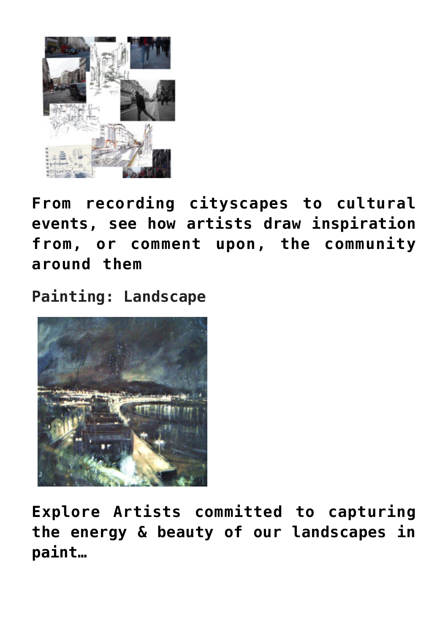

**[From recording cityscapes to cultural](https://www.accessart.org.uk/which-artists-reportage-illustration-11-16/) [events, see how artists draw inspiration](https://www.accessart.org.uk/which-artists-reportage-illustration-11-16/) [from, or comment upon, the community](https://www.accessart.org.uk/which-artists-reportage-illustration-11-16/) [around them](https://www.accessart.org.uk/which-artists-reportage-illustration-11-16/)**

**Painting: Landscape**



**[Explore Artists committed to capturing](https://www.accessart.org.uk/which-artists-landscape-painting-11-16/) [the energy & beauty of our landscapes in](https://www.accessart.org.uk/which-artists-landscape-painting-11-16/) [paint…](https://www.accessart.org.uk/which-artists-landscape-painting-11-16/)**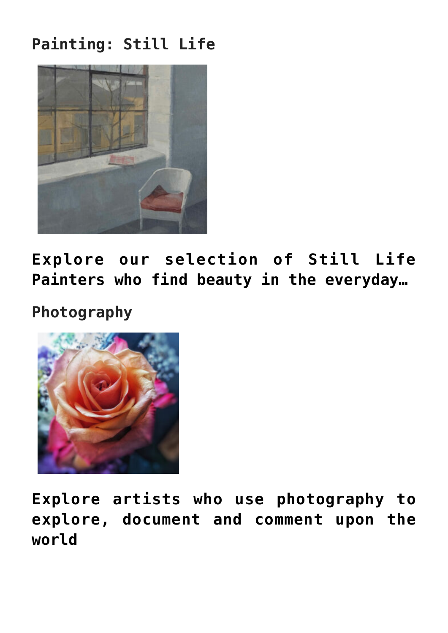### **Painting: Still Life**



**[Explore our selection of Still Life](https://www.accessart.org.uk/which-artists-painting-still-life-11-16/) [Painters who find beauty in the everyday…](https://www.accessart.org.uk/which-artists-painting-still-life-11-16/)**

**Photography**



**[Explore artists who use photography to](https://www.accessart.org.uk/which-artists-photography-11-16/) [explore, document and comment upon the](https://www.accessart.org.uk/which-artists-photography-11-16/) [world](https://www.accessart.org.uk/which-artists-photography-11-16/)**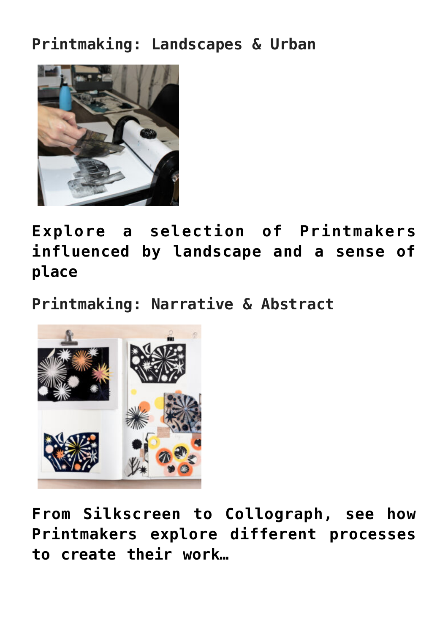#### **Printmaking: Landscapes & Urban**



**[Explore a selection of Printmakers](https://www.accessart.org.uk/which-artists-printmaking-landscape-urban-11-16/) [influenced by landscape and a sense of](https://www.accessart.org.uk/which-artists-printmaking-landscape-urban-11-16/) [place](https://www.accessart.org.uk/which-artists-printmaking-landscape-urban-11-16/)**

**Printmaking: Narrative & Abstract**



**[From Silkscreen to Collograph, see how](https://www.accessart.org.uk/which-artists-printmaking-narrative-abstract/) [Printmakers explore different processes](https://www.accessart.org.uk/which-artists-printmaking-narrative-abstract/) [to create their work…](https://www.accessart.org.uk/which-artists-printmaking-narrative-abstract/)**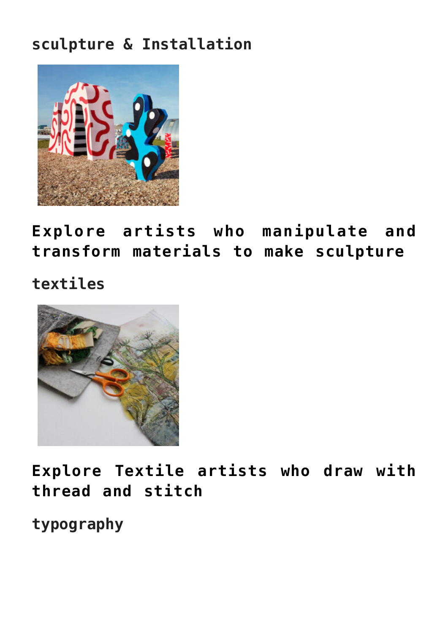#### **sculpture & Installation**



**[Explore artists who manipulate and](https://www.accessart.org.uk/which-artists-sculpture-and-installation-11-16/) [transform materials to make sculpture](https://www.accessart.org.uk/which-artists-sculpture-and-installation-11-16/)**

**textiles**



**[Explore Textile artists who draw with](https://www.accessart.org.uk/which-artists-textile-artists-11-16/) [thread and stitch](https://www.accessart.org.uk/which-artists-textile-artists-11-16/)**

**typography**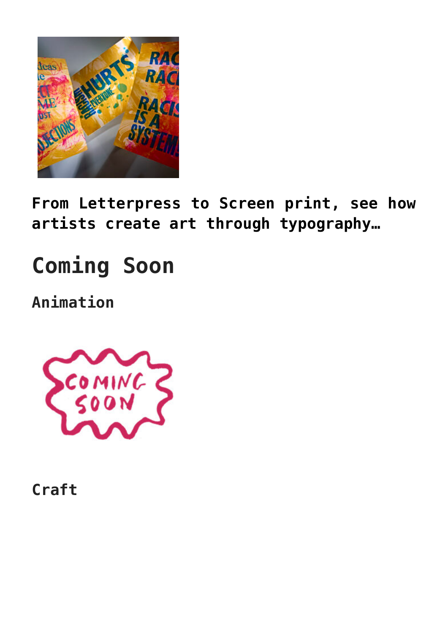

**[From Letterpress to Screen print, see how](https://www.accessart.org.uk/which-artists-typography-11-16/) [artists create art through typography…](https://www.accessart.org.uk/which-artists-typography-11-16/)**

# **Coming Soon**

**Animation**



**Craft**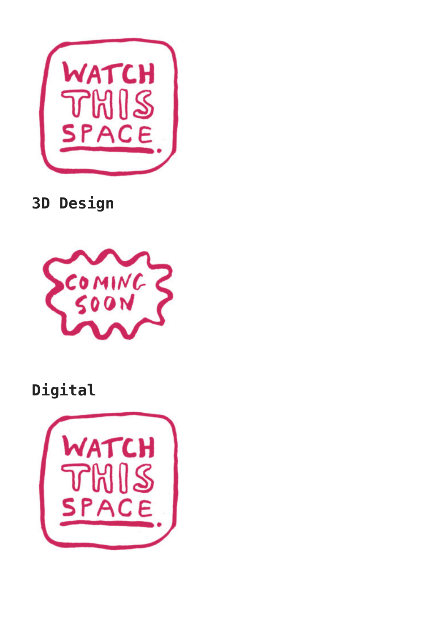

**3D Design**



## **Digital**

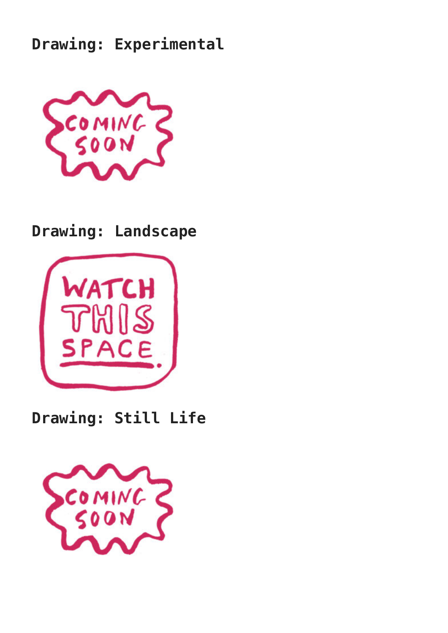#### **Drawing: Experimental**



#### **Drawing: Landscape**



#### **Drawing: Still Life**

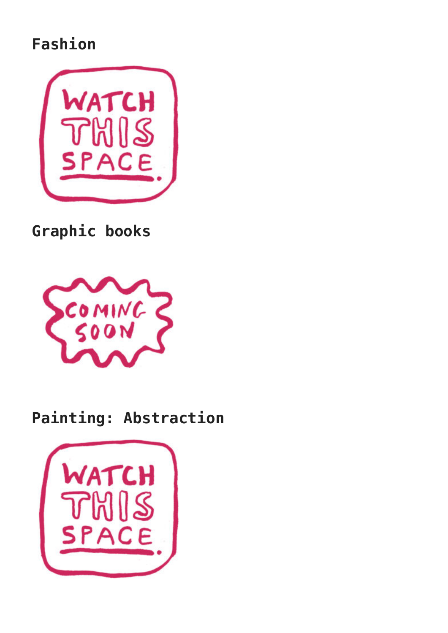#### **Fashion**



**Graphic books**



#### **Painting: Abstraction**